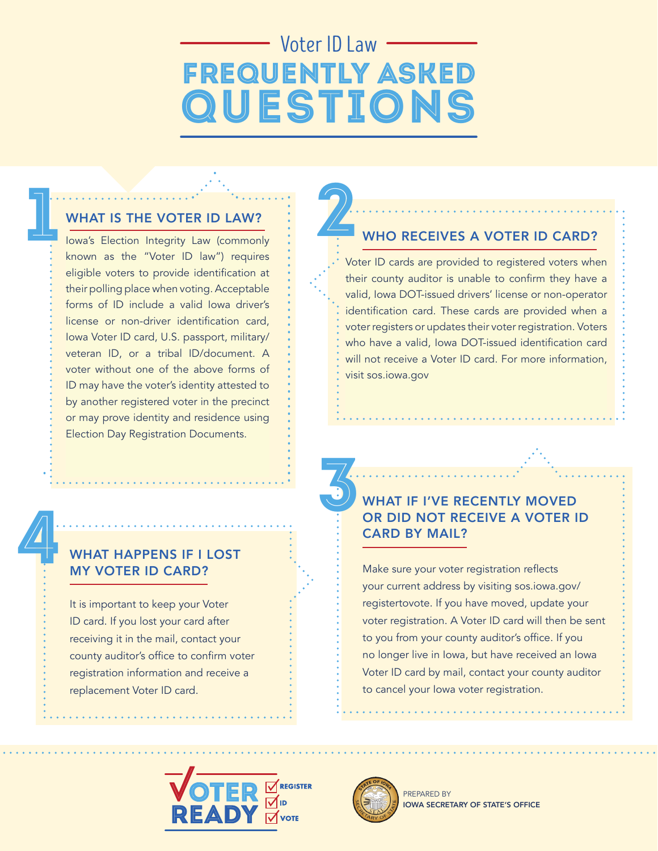# Voter ID Law Frequently Asked **QUESTIONS**

### WHAT IS THE VOTER ID LAW?

Iowa's Election Integrity Law (commonly<br>. known as the "Voter ID law") requires eligible voters to provide identification at eligible voters voters to provide it to provide it to provide their polling place when voting. Acceptable forms of ID include a valid Iowa driver's license or non-driver identification card, Iowa Voter ID card, U.S. passport, military/ veteran ID, or a tribal ID/document. A voter without one of the above forms of ID may have the voter's identity attested to by another registered voter in the precinct or may prove identity and residence using Election Day Registration Documents. WHAT IS THE VOTER ID LAW? known as the "Voter ID law") requires

# WHAT HAPPENS IF I LOST MY VOTER ID CARD?

Registration Documents

4

It is important to keep your Voter ID card. If you lost your card after receiving it in the mail, contact your county auditor's office to confirm voter registration information and receive a replacement Voter ID card.

# WHO RECEIVES A VOTER ID CARD?

Voter ID cards are provided to registered voters Voter ID cards are provided to registered voters when when their county auditor is unable to confirm they valid, Iowa DOT-issued drivers' license or non-operator rana, Iowa DOT-issued and to a valid of them up charge. voter registers or updates their voter registration. Voters<br> who have a valid, Iowa DOT-issued identification card will not receive a Voter ID card. For more information, visit sos.iowa.gov their county auditor is unable to confirm they have a

# WHAT IF I'VE RECENTLY MOVED OR DID NOT RECEIVE A VOTER ID CARD BY MAIL? 3

Make sure your voter registration reflects your current address by visiting sos.iowa.gov/ registertovote. If you have moved, update your voter registration. A Voter ID card will then be sent to you from your county auditor's office. If you no longer live in Iowa, but have received an Iowa Voter ID card by mail, contact your county auditor to cancel your Iowa voter registration.